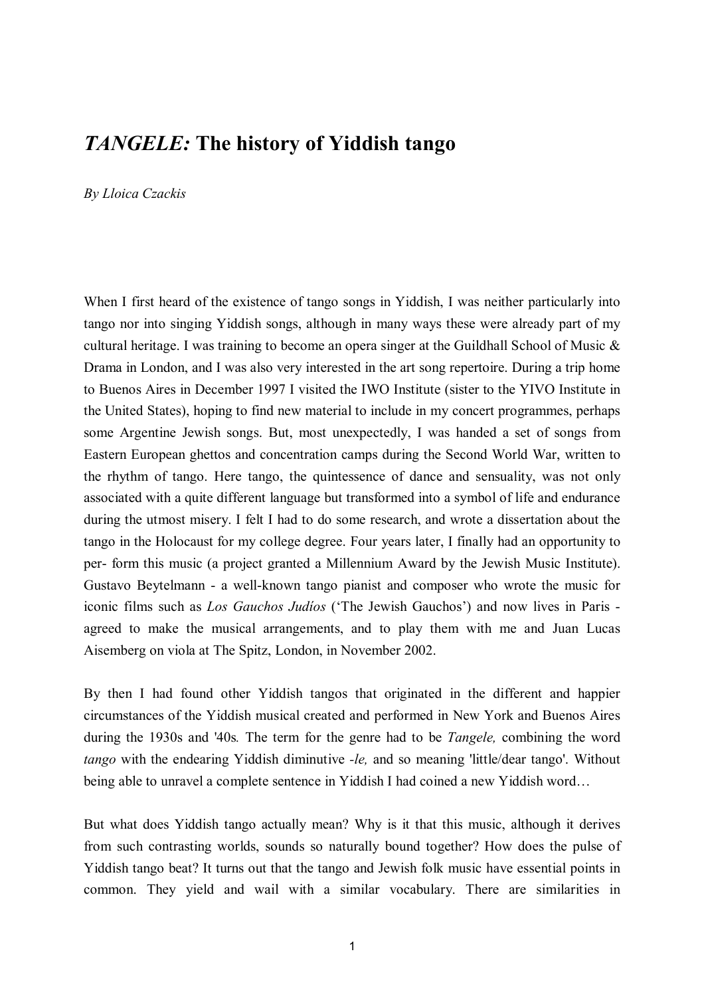# *TANGELE:* **The history of Yiddish tango**

*By Lloica Czackis* 

When I first heard of the existence of tango songs in Yiddish, I was neither particularly into tango nor into singing Yiddish songs, although in many ways these were already part of my cultural heritage. I was training to become an opera singer at the Guildhall School of Music  $\&$ Drama in London, and I was also very interested in the art song repertoire. During a trip home to Buenos Aires in December 1997 I visited the IWO Institute (sister to the YIVO Institute in the United States), hoping to find new material to include in my concert programmes, perhaps some Argentine Jewish songs. But, most unexpectedly, I was handed a set of songs from Eastern European ghettos and concentration camps during the Second World War, written to the rhythm of tango. Here tango, the quintessence of dance and sensuality, was not only associated with a quite different language but transformed into a symbol of life and endurance during the utmost misery. I felt I had to do some research, and wrote a dissertation about the tango in the Holocaust for my college degree. Four years later, I finally had an opportunity to per- form this music (a project granted a Millennium Award by the Jewish Music Institute). Gustavo Beytelmann - a well-known tango pianist and composer who wrote the music for iconic films such as *Los Gauchos Judíos* ('The Jewish Gauchos') and now lives in Paris agreed to make the musical arrangements, and to play them with me and Juan Lucas Aisemberg on viola at The Spitz, London, in November 2002.

By then I had found other Yiddish tangos that originated in the different and happier circumstances of the Yiddish musical created and performed in New York and Buenos Aires during the 1930s and '40s*.* The term for the genre had to be *Tangele,* combining the word *tango* with the endearing Yiddish diminutive *-le,* and so meaning 'little/dear tango'. Without being able to unravel a complete sentence in Yiddish I had coined a new Yiddish word...

But what does Yiddish tango actually mean? Why is it that this music, although it derives from such contrasting worlds, sounds so naturally bound together? How does the pulse of Yiddish tango beat? It turns out that the tango and Jewish folk music have essential points in common. They yield and wail with a similar vocabulary. There are similarities in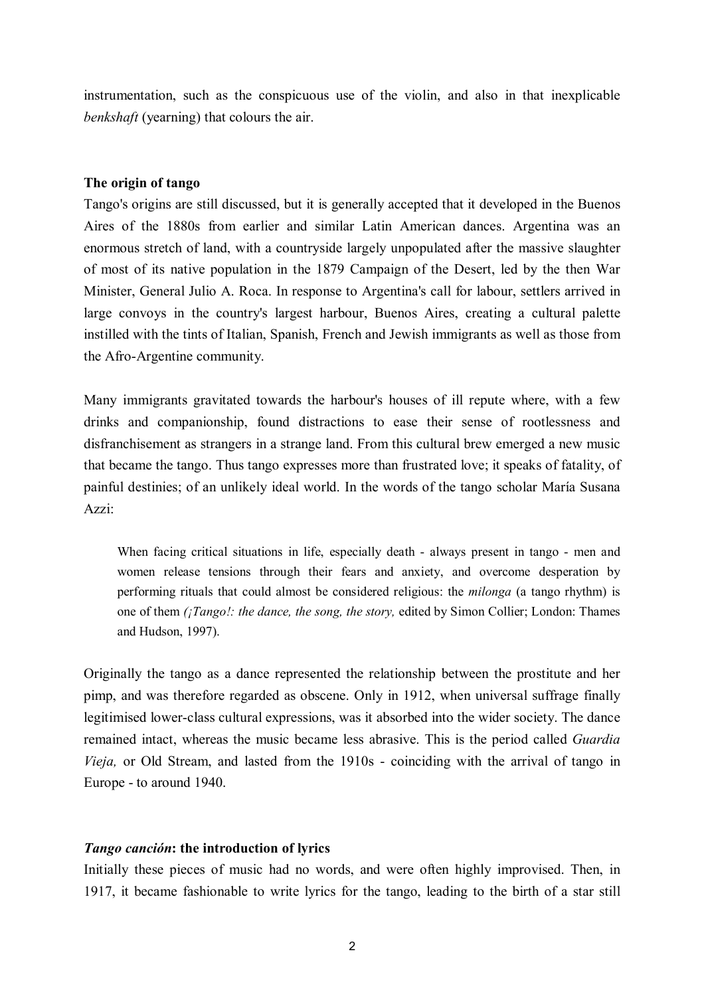instrumentation, such as the conspicuous use of the violin, and also in that inexplicable *benkshaft* (yearning) that colours the air.

## **The origin of tango**

Tango's origins are still discussed, but it is generally accepted that it developed in the Buenos Aires of the 1880s from earlier and similar Latin American dances. Argentina was an enormous stretch of land, with a countryside largely unpopulated after the massive slaughter of most of its native population in the 1879 Campaign of the Desert, led by the then War Minister, General Julio A. Roca. In response to Argentina's call for labour, settlers arrived in large convoys in the country's largest harbour, Buenos Aires, creating a cultural palette instilled with the tints of Italian, Spanish, French and Jewish immigrants as well as those from the Afro-Argentine community.

Many immigrants gravitated towards the harbour's houses of ill repute where, with a few drinks and companionship, found distractions to ease their sense of rootlessness and disfranchisement as strangers in a strange land. From this cultural brew emerged a new music that became the tango. Thus tango expresses more than frustrated love; it speaks of fatality, of painful destinies; of an unlikely ideal world. In the words of the tango scholar María Susana Azzi:

When facing critical situations in life, especially death - always present in tango - men and women release tensions through their fears and anxiety, and overcome desperation by performing rituals that could almost be considered religious: the *milonga* (a tango rhythm) is one of them *(¡Tango!: the dance, the song, the story, edited by Simon Collier; London: Thames* and Hudson, 1997).

Originally the tango as a dance represented the relationship between the prostitute and her pimp, and was therefore regarded as obscene. Only in 1912, when universal suffrage finally legitimised lower-class cultural expressions, was it absorbed into the wider society. The dance remained intact, whereas the music became less abrasive. This is the period called *Guardia Vieja,* or Old Stream, and lasted from the 1910s - coinciding with the arrival of tango in Europe - to around 1940.

## *Tango canción*: the introduction of lyrics

Initially these pieces of music had no words, and were often highly improvised. Then, in 1917, it became fashionable to write lyrics for the tango, leading to the birth of a star still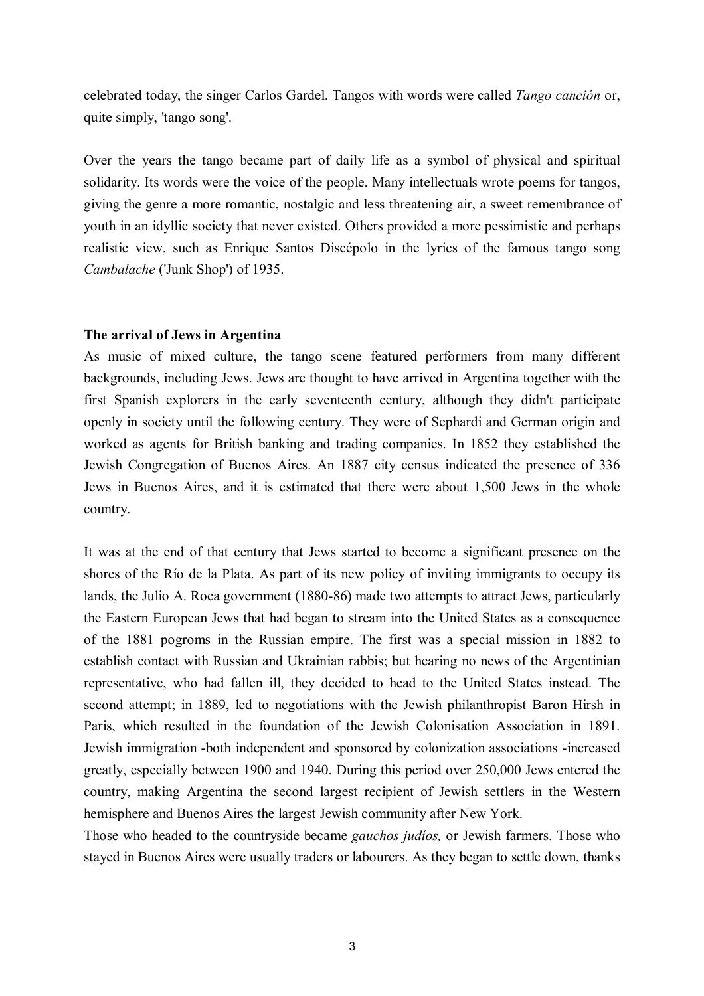celebrated today, the singer Carlos Gardel. Tangos with words were called *Tango canción* or, quite simply, 'tango song'.

Over the years the tango became part of daily life as a symbol of physical and spiritual solidarity. Its words were the voice of the people. Many intellectuals wrote poems for tangos, giving the genre a more romantic, nostalgic and less threatening air, a sweet remembrance of youth in an idyllic society that never existed. Others provided a more pessimistic and perhaps realistic view, such as Enrique Santos Discépolo in the lyrics of the famous tango song *Cambalache* ('Junk Shop') of 1935.

## **The arrival of Jews in Argentina**

As music of mixed culture, the tango scene featured performers from many different backgrounds, including Jews. Jews are thought to have arrived in Argentina together with the first Spanish explorers in the early seventeenth century, although they didn't participate openly in society until the following century. They were of Sephardi and German origin and worked as agents for British banking and trading companies. In 1852 they established the Jewish Congregation of Buenos Aires. An 1887 city census indicated the presence of 336 Jews in Buenos Aires, and it is estimated that there were about 1,500 Jews in the whole country.

It was at the end of that century that Jews started to become a significant presence on the shores of the Rio de la Plata. As part of its new policy of inviting immigrants to occupy its lands, the Julio A. Roca government (1880-86) made two attempts to attract Jews, particularly the Eastern European Jews that had began to stream into the United States as a consequence of the 1881 pogroms in the Russian empire. The first was a special mission in 1882 to establish contact with Russian and Ukrainian rabbis; but hearing no news of the Argentinian representative, who had fallen ill, they decided to head to the United States instead. The second attempt; in 1889, led to negotiations with the Jewish philanthropist Baron Hirsh in Paris, which resulted in the foundation of the Jewish Colonisation Association in 1891. Jewish immigration -both independent and sponsored by colonization associations -increased greatly, especially between 1900 and 1940. During this period over 250,000 Jews entered the country, making Argentina the second largest recipient of Jewish settlers in the Western hemisphere and Buenos Aires the largest Jewish community after New York.

Those who headed to the countryside became *gauchos judÌos,* or Jewish farmers. Those who stayed in Buenos Aires were usually traders or labourers. As they began to settle down, thanks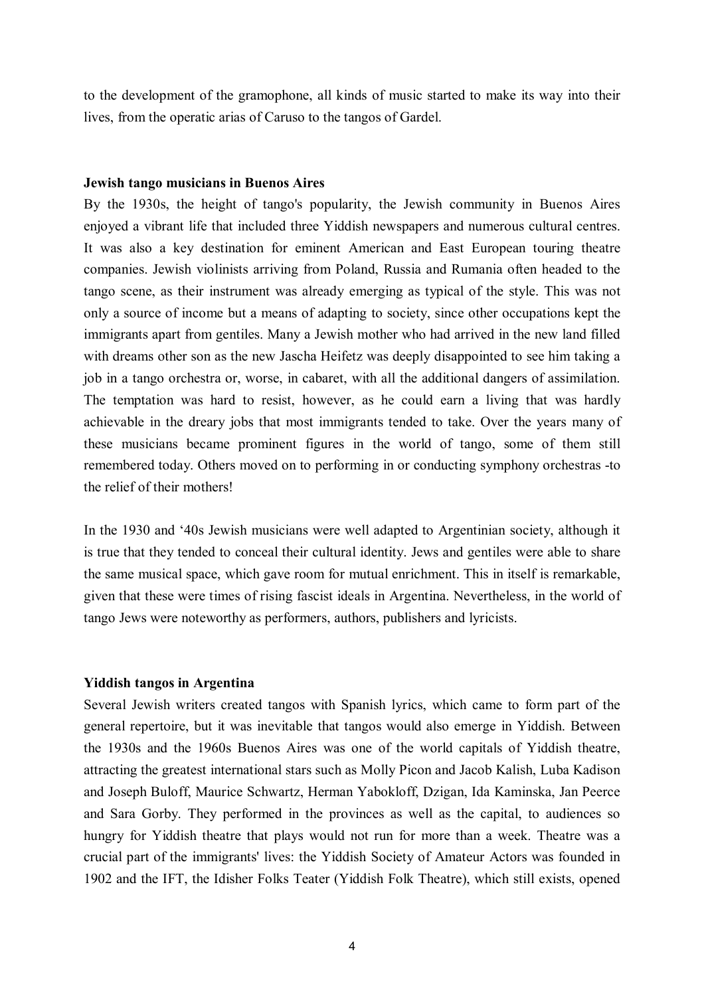to the development of the gramophone, all kinds of music started to make its way into their lives, from the operatic arias of Caruso to the tangos of Gardel.

#### **Jewish tango musicians in Buenos Aires**

By the 1930s, the height of tango's popularity, the Jewish community in Buenos Aires enjoyed a vibrant life that included three Yiddish newspapers and numerous cultural centres. It was also a key destination for eminent American and East European touring theatre companies. Jewish violinists arriving from Poland, Russia and Rumania often headed to the tango scene, as their instrument was already emerging as typical of the style. This was not only a source of income but a means of adapting to society, since other occupations kept the immigrants apart from gentiles. Many a Jewish mother who had arrived in the new land filled with dreams other son as the new Jascha Heifetz was deeply disappointed to see him taking a job in a tango orchestra or, worse, in cabaret, with all the additional dangers of assimilation. The temptation was hard to resist, however, as he could earn a living that was hardly achievable in the dreary jobs that most immigrants tended to take. Over the years many of these musicians became prominent figures in the world of tango, some of them still remembered today. Others moved on to performing in or conducting symphony orchestras -to the relief of their mothers!

In the 1930 and '40s Jewish musicians were well adapted to Argentinian society, although it is true that they tended to conceal their cultural identity. Jews and gentiles were able to share the same musical space, which gave room for mutual enrichment. This in itself is remarkable, given that these were times of rising fascist ideals in Argentina. Nevertheless, in the world of tango Jews were noteworthy as performers, authors, publishers and lyricists.

## **Yiddish tangos in Argentina**

Several Jewish writers created tangos with Spanish lyrics, which came to form part of the general repertoire, but it was inevitable that tangos would also emerge in Yiddish. Between the 1930s and the 1960s Buenos Aires was one of the world capitals of Yiddish theatre, attracting the greatest international stars such as Molly Picon and Jacob Kalish, Luba Kadison and Joseph Buloff, Maurice Schwartz, Herman Yabokloff, Dzigan, Ida Kaminska, Jan Peerce and Sara Gorby. They performed in the provinces as well as the capital, to audiences so hungry for Yiddish theatre that plays would not run for more than a week. Theatre was a crucial part of the immigrants' lives: the Yiddish Society of Amateur Actors was founded in 1902 and the IFT, the Idisher Folks Teater (Yiddish Folk Theatre), which still exists, opened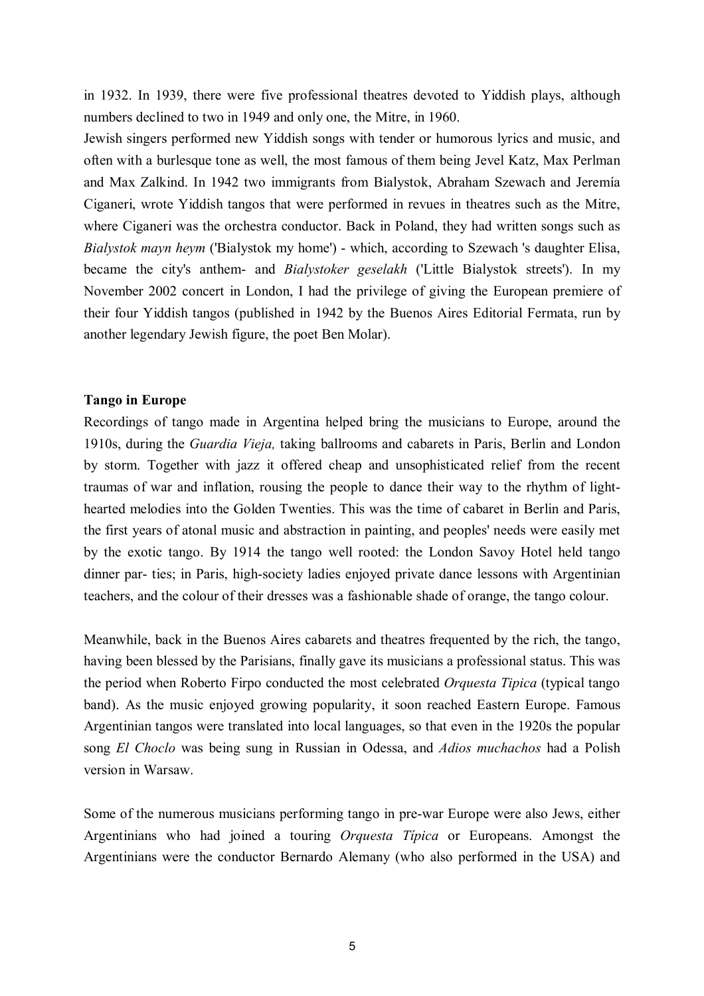in 1932. In 1939, there were five professional theatres devoted to Yiddish plays, although numbers declined to two in 1949 and only one, the Mitre, in 1960.

Jewish singers performed new Yiddish songs with tender or humorous lyrics and music, and often with a burlesque tone as well, the most famous of them being Jevel Katz, Max Perlman and Max Zalkind. In 1942 two immigrants from Bialystok, Abraham Szewach and Jeremía Ciganeri, wrote Yiddish tangos that were performed in revues in theatres such as the Mitre, where Ciganeri was the orchestra conductor. Back in Poland, they had written songs such as *Bialystok mayn heym* ('Bialystok my home') - which, according to Szewach 's daughter Elisa, became the city's anthem- and *Bialystoker geselakh* ('Little Bialystok streets'). In my November 2002 concert in London, I had the privilege of giving the European premiere of their four Yiddish tangos (published in 1942 by the Buenos Aires Editorial Fermata, run by another legendary Jewish figure, the poet Ben Molar).

## **Tango in Europe**

Recordings of tango made in Argentina helped bring the musicians to Europe, around the 1910s, during the *Guardia Vieja,* taking ballrooms and cabarets in Paris, Berlin and London by storm. Together with jazz it offered cheap and unsophisticated relief from the recent traumas of war and inflation, rousing the people to dance their way to the rhythm of lighthearted melodies into the Golden Twenties. This was the time of cabaret in Berlin and Paris, the first years of atonal music and abstraction in painting, and peoples' needs were easily met by the exotic tango. By 1914 the tango well rooted: the London Savoy Hotel held tango dinner par- ties; in Paris, high-society ladies enjoyed private dance lessons with Argentinian teachers, and the colour of their dresses was a fashionable shade of orange, the tango colour.

Meanwhile, back in the Buenos Aires cabarets and theatres frequented by the rich, the tango, having been blessed by the Parisians, finally gave its musicians a professional status. This was the period when Roberto Firpo conducted the most celebrated *Orquesta Tipica* (typical tango band). As the music enjoyed growing popularity, it soon reached Eastern Europe. Famous Argentinian tangos were translated into local languages, so that even in the 1920s the popular song *El Choclo* was being sung in Russian in Odessa, and *Adios muchachos* had a Polish version in Warsaw.

Some of the numerous musicians performing tango in pre-war Europe were also Jews, either Argentinians who had joined a touring *Orquesta TÌpica* or Europeans. Amongst the Argentinians were the conductor Bernardo Alemany (who also performed in the USA) and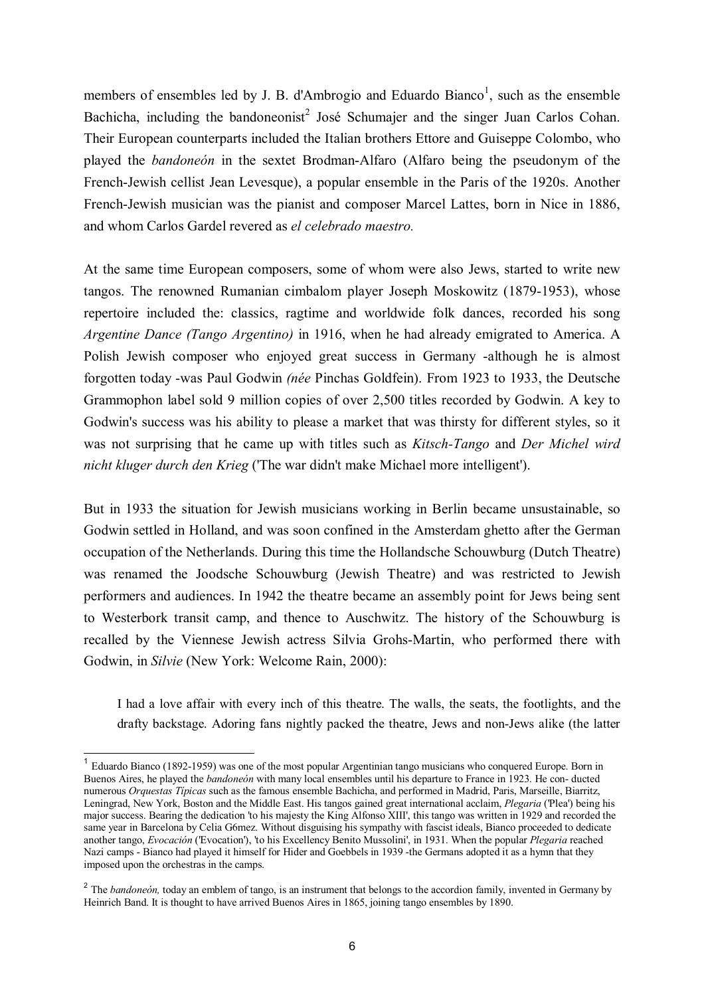members of ensembles led by J. B. d'Ambrogio and Eduardo Bianco<sup>1</sup>, such as the ensemble Bachicha, including the bandoneonist<sup>2</sup> José Schumajer and the singer Juan Carlos Cohan. Their European counterparts included the Italian brothers Ettore and Guiseppe Colombo, who played the *bandone on* in the sextet Brodman-Alfaro (Alfaro being the pseudonym of the French-Jewish cellist Jean Levesque), a popular ensemble in the Paris of the 1920s. Another French-Jewish musician was the pianist and composer Marcel Lattes, born in Nice in 1886, and whom Carlos Gardel revered as *el celebrado maestro.* 

At the same time European composers, some of whom were also Jews, started to write new tangos. The renowned Rumanian cimbalom player Joseph Moskowitz (1879-1953), whose repertoire included the: classics, ragtime and worldwide folk dances, recorded his song *Argentine Dance (Tango Argentino)* in 1916, when he had already emigrated to America. A Polish Jewish composer who enjoyed great success in Germany -although he is almost forgotten today -was Paul Godwin *(née* Pinchas Goldfein). From 1923 to 1933, the Deutsche Grammophon label sold 9 million copies of over 2,500 titles recorded by Godwin. A key to Godwin's success was his ability to please a market that was thirsty for different styles, so it was not surprising that he came up with titles such as *Kitsch-Tango* and *Der Michel wird nicht kluger durch den Krieg* ('The war didn't make Michael more intelligent').

But in 1933 the situation for Jewish musicians working in Berlin became unsustainable, so Godwin settled in Holland, and was soon confined in the Amsterdam ghetto after the German occupation of the Netherlands. During this time the Hollandsche Schouwburg (Dutch Theatre) was renamed the Joodsche Schouwburg (Jewish Theatre) and was restricted to Jewish performers and audiences. In 1942 the theatre became an assembly point for Jews being sent to Westerbork transit camp, and thence to Auschwitz. The history of the Schouwburg is recalled by the Viennese Jewish actress Silvia Grohs-Martin, who performed there with Godwin, in *Silvie* (New York: Welcome Rain, 2000):

I had a love affair with every inch of this theatre. The walls, the seats, the footlights, and the drafty backstage. Adoring fans nightly packed the theatre, Jews and non-Jews alike (the latter

l

<sup>1</sup> Eduardo Bianco (1892-1959) was one of the most popular Argentinian tango musicians who conquered Europe. Born in Buenos Aires, he played the *bandoneón* with many local ensembles until his departure to France in 1923. He con- ducted numerous *Orquestas TÌpicas* such as the famous ensemble Bachicha, and performed in Madrid, Paris, Marseille, Biarritz, Leningrad, New York, Boston and the Middle East. His tangos gained great international acclaim, *Plegaria* ('Plea') being his major success. Bearing the dedication 'to his majesty the King Alfonso XIII', this tango was written in 1929 and recorded the same year in Barcelona by Celia G6mez. Without disguising his sympathy with fascist ideals, Bianco proceeded to dedicate another tango, *Evocación* ('Evocation'), 'to his Excellency Benito Mussolini', in 1931. When the popular *Plegaria* reached Nazi camps - Bianco had played it himself for Hider and Goebbels in 1939 -the Germans adopted it as a hymn that they imposed upon the orchestras in the camps.

<sup>&</sup>lt;sup>2</sup> The *bandoneón*, today an emblem of tango, is an instrument that belongs to the accordion family, invented in Germany by Heinrich Band. It is thought to have arrived Buenos Aires in 1865, joining tango ensembles by 1890.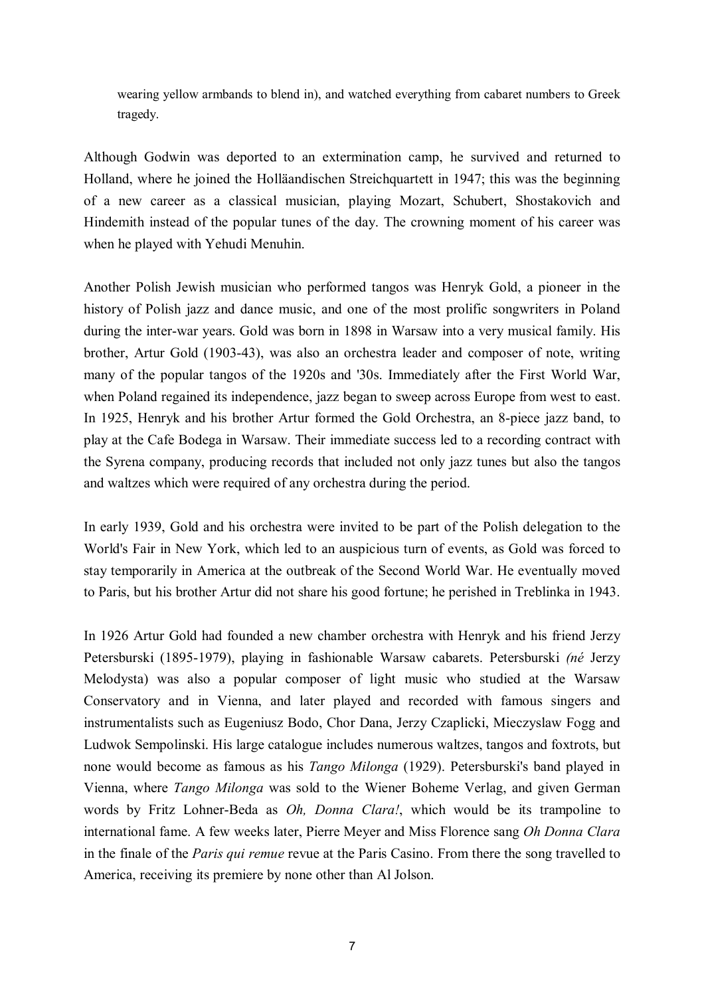wearing yellow armbands to blend in), and watched everything from cabaret numbers to Greek tragedy.

Although Godwin was deported to an extermination camp, he survived and returned to Holland, where he joined the Holläandischen Streichquartett in 1947; this was the beginning of a new career as a classical musician, playing Mozart, Schubert, Shostakovich and Hindemith instead of the popular tunes of the day. The crowning moment of his career was when he played with Yehudi Menuhin.

Another Polish Jewish musician who performed tangos was Henryk Gold, a pioneer in the history of Polish jazz and dance music, and one of the most prolific songwriters in Poland during the inter-war years. Gold was born in 1898 in Warsaw into a very musical family. His brother, Artur Gold (1903-43), was also an orchestra leader and composer of note, writing many of the popular tangos of the 1920s and '30s. Immediately after the First World War, when Poland regained its independence, jazz began to sweep across Europe from west to east. In 1925, Henryk and his brother Artur formed the Gold Orchestra, an 8-piece jazz band, to play at the Cafe Bodega in Warsaw. Their immediate success led to a recording contract with the Syrena company, producing records that included not only jazz tunes but also the tangos and waltzes which were required of any orchestra during the period.

In early 1939, Gold and his orchestra were invited to be part of the Polish delegation to the World's Fair in New York, which led to an auspicious turn of events, as Gold was forced to stay temporarily in America at the outbreak of the Second World War. He eventually moved to Paris, but his brother Artur did not share his good fortune; he perished in Treblinka in 1943.

In 1926 Artur Gold had founded a new chamber orchestra with Henryk and his friend Jerzy Petersburski (1895-1979), playing in fashionable Warsaw cabarets. Petersburski *(nÈ* Jerzy Melodysta) was also a popular composer of light music who studied at the Warsaw Conservatory and in Vienna, and later played and recorded with famous singers and instrumentalists such as Eugeniusz Bodo, Chor Dana, Jerzy Czaplicki, Mieczyslaw Fogg and Ludwok Sempolinski. His large catalogue includes numerous waltzes, tangos and foxtrots, but none would become as famous as his *Tango Milonga* (1929). Petersburski's band played in Vienna, where *Tango Milonga* was sold to the Wiener Boheme Verlag, and given German words by Fritz Lohner-Beda as *Oh, Donna Clara!*, which would be its trampoline to international fame. A few weeks later, Pierre Meyer and Miss Florence sang *Oh Donna Clara* in the finale of the *Paris qui remue* revue at the Paris Casino. From there the song travelled to America, receiving its premiere by none other than Al Jolson.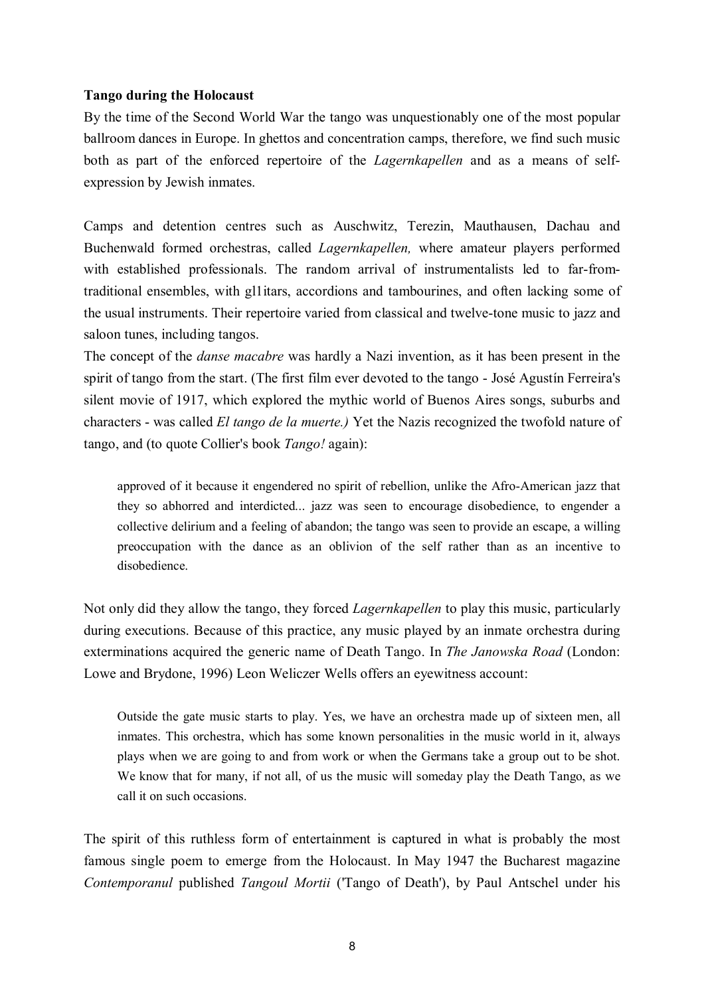## **Tango during the Holocaust**

By the time of the Second World War the tango was unquestionably one of the most popular ballroom dances in Europe. In ghettos and concentration camps, therefore, we find such music both as part of the enforced repertoire of the *Lagernkapellen* and as a means of selfexpression by Jewish inmates.

Camps and detention centres such as Auschwitz, Terezin, Mauthausen, Dachau and Buchenwald formed orchestras, called *Lagernkapellen,* where amateur players performed with established professionals. The random arrival of instrumentalists led to far-fromtraditional ensembles, with gl1itars, accordions and tambourines, and often lacking some of the usual instruments. Their repertoire varied from classical and twelve-tone music to jazz and saloon tunes, including tangos.

The concept of the *danse macabre* was hardly a Nazi invention, as it has been present in the spirit of tango from the start. (The first film ever devoted to the tango - José Agustín Ferreira's silent movie of 1917, which explored the mythic world of Buenos Aires songs, suburbs and characters - was called *El tango de la muerte.)* Yet the Nazis recognized the twofold nature of tango, and (to quote Collier's book *Tango!* again):

approved of it because it engendered no spirit of rebellion, unlike the Afro-American jazz that they so abhorred and interdicted... jazz was seen to encourage disobedience, to engender a collective delirium and a feeling of abandon; the tango was seen to provide an escape, a willing preoccupation with the dance as an oblivion of the self rather than as an incentive to disobedience.

Not only did they allow the tango, they forced *Lagernkapellen* to play this music, particularly during executions. Because of this practice, any music played by an inmate orchestra during exterminations acquired the generic name of Death Tango. In *The Janowska Road* (London: Lowe and Brydone, 1996) Leon Weliczer Wells offers an eyewitness account:

Outside the gate music starts to play. Yes, we have an orchestra made up of sixteen men, all inmates. This orchestra, which has some known personalities in the music world in it, always plays when we are going to and from work or when the Germans take a group out to be shot. We know that for many, if not all, of us the music will someday play the Death Tango, as we call it on such occasions.

The spirit of this ruthless form of entertainment is captured in what is probably the most famous single poem to emerge from the Holocaust. In May 1947 the Bucharest magazine *Contemporanul* published *Tangoul Mortii* ('Tango of Death'), by Paul Antschel under his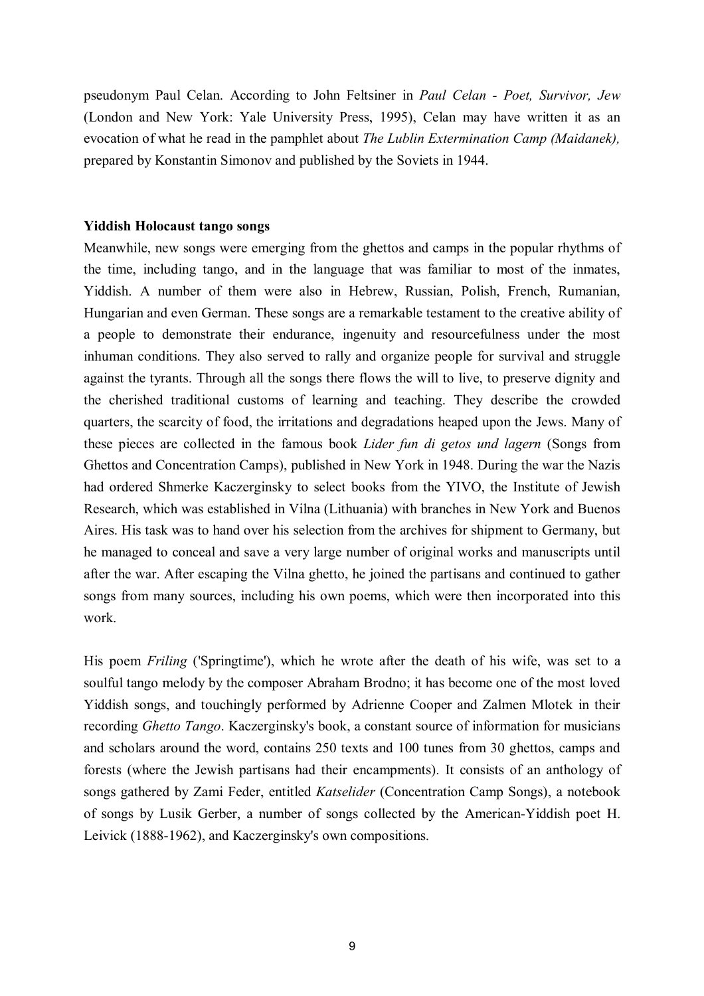pseudonym Paul Celan. According to John Feltsiner in *Paul Celan - Poet, Survivor, Jew*  (London and New York: Yale University Press, 1995), Celan may have written it as an evocation of what he read in the pamphlet about *The Lublin Extermination Camp (Maidanek),*  prepared by Konstantin Simonov and published by the Soviets in 1944.

## **Yiddish Holocaust tango songs**

Meanwhile, new songs were emerging from the ghettos and camps in the popular rhythms of the time, including tango, and in the language that was familiar to most of the inmates, Yiddish. A number of them were also in Hebrew, Russian, Polish, French, Rumanian, Hungarian and even German. These songs are a remarkable testament to the creative ability of a people to demonstrate their endurance, ingenuity and resourcefulness under the most inhuman conditions. They also served to rally and organize people for survival and struggle against the tyrants. Through all the songs there flows the will to live, to preserve dignity and the cherished traditional customs of learning and teaching. They describe the crowded quarters, the scarcity of food, the irritations and degradations heaped upon the Jews. Many of these pieces are collected in the famous book *Lider fun di getos und lagern* (Songs from Ghettos and Concentration Camps), published in New York in 1948. During the war the Nazis had ordered Shmerke Kaczerginsky to select books from the YIVO, the Institute of Jewish Research, which was established in Vilna (Lithuania) with branches in New York and Buenos Aires. His task was to hand over his selection from the archives for shipment to Germany, but he managed to conceal and save a very large number of original works and manuscripts until after the war. After escaping the Vilna ghetto, he joined the partisans and continued to gather songs from many sources, including his own poems, which were then incorporated into this work.

His poem *Friling* ('Springtime'), which he wrote after the death of his wife, was set to a soulful tango melody by the composer Abraham Brodno; it has become one of the most loved Yiddish songs, and touchingly performed by Adrienne Cooper and Zalmen Mlotek in their recording *Ghetto Tango*. Kaczerginsky's book, a constant source of information for musicians and scholars around the word, contains 250 texts and 100 tunes from 30 ghettos, camps and forests (where the Jewish partisans had their encampments). It consists of an anthology of songs gathered by Zami Feder, entitled *Katselider* (Concentration Camp Songs), a notebook of songs by Lusik Gerber, a number of songs collected by the American-Yiddish poet H. Leivick (1888-1962), and Kaczerginsky's own compositions.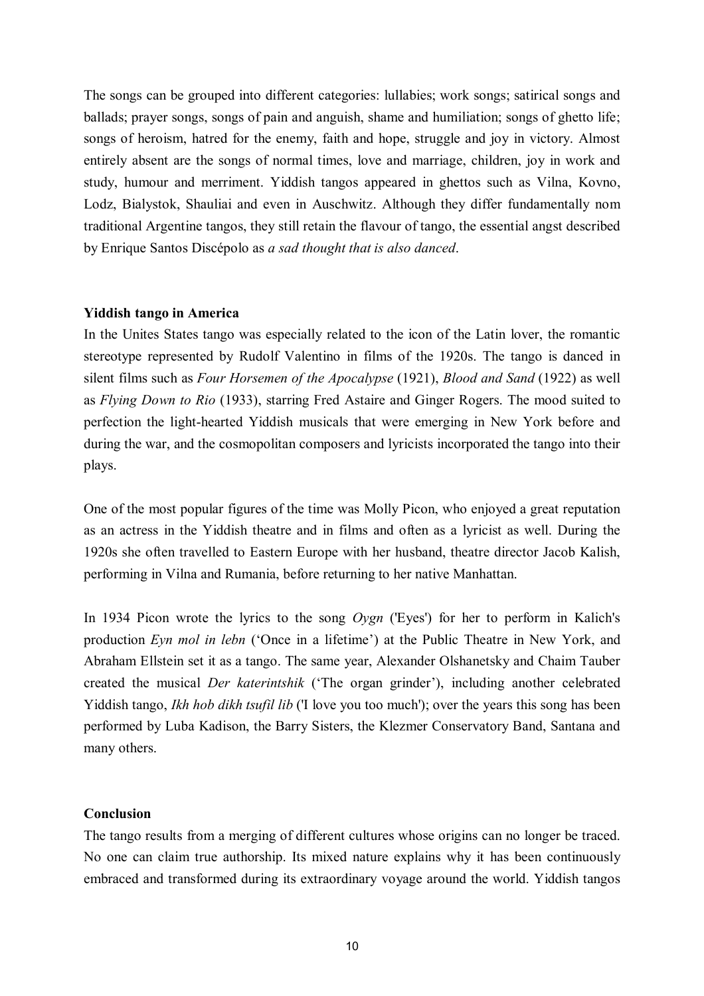The songs can be grouped into different categories: lullabies; work songs; satirical songs and ballads; prayer songs, songs of pain and anguish, shame and humiliation; songs of ghetto life; songs of heroism, hatred for the enemy, faith and hope, struggle and joy in victory. Almost entirely absent are the songs of normal times, love and marriage, children, joy in work and study, humour and merriment. Yiddish tangos appeared in ghettos such as Vilna, Kovno, Lodz, Bialystok, Shauliai and even in Auschwitz. Although they differ fundamentally nom traditional Argentine tangos, they still retain the flavour of tango, the essential angst described by Enrique Santos DiscÈpolo as *a sad thought that is also danced*.

## **Yiddish tango in America**

In the Unites States tango was especially related to the icon of the Latin lover, the romantic stereotype represented by Rudolf Valentino in films of the 1920s. The tango is danced in silent films such as *Four Horsemen of the Apocalypse* (1921), *Blood and Sand* (1922) as well as *Flying Down to Rio* (1933), starring Fred Astaire and Ginger Rogers. The mood suited to perfection the light-hearted Yiddish musicals that were emerging in New York before and during the war, and the cosmopolitan composers and lyricists incorporated the tango into their plays.

One of the most popular figures of the time was Molly Picon, who enjoyed a great reputation as an actress in the Yiddish theatre and in films and often as a lyricist as well. During the 1920s she often travelled to Eastern Europe with her husband, theatre director Jacob Kalish, performing in Vilna and Rumania, before returning to her native Manhattan.

In 1934 Picon wrote the lyrics to the song *Oygn* ('Eyes') for her to perform in Kalich's production *Eyn mol in lebn* ('Once in a lifetime') at the Public Theatre in New York, and Abraham Ellstein set it as a tango. The same year, Alexander Olshanetsky and Chaim Tauber created the musical *Der katerintshik* ('The organ grinder'), including another celebrated Yiddish tango, *Ikh hob dikh tsufil lib* ('I love you too much'); over the years this song has been performed by Luba Kadison, the Barry Sisters, the Klezmer Conservatory Band, Santana and many others.

## **Conclusion**

The tango results from a merging of different cultures whose origins can no longer be traced. No one can claim true authorship. Its mixed nature explains why it has been continuously embraced and transformed during its extraordinary voyage around the world. Yiddish tangos